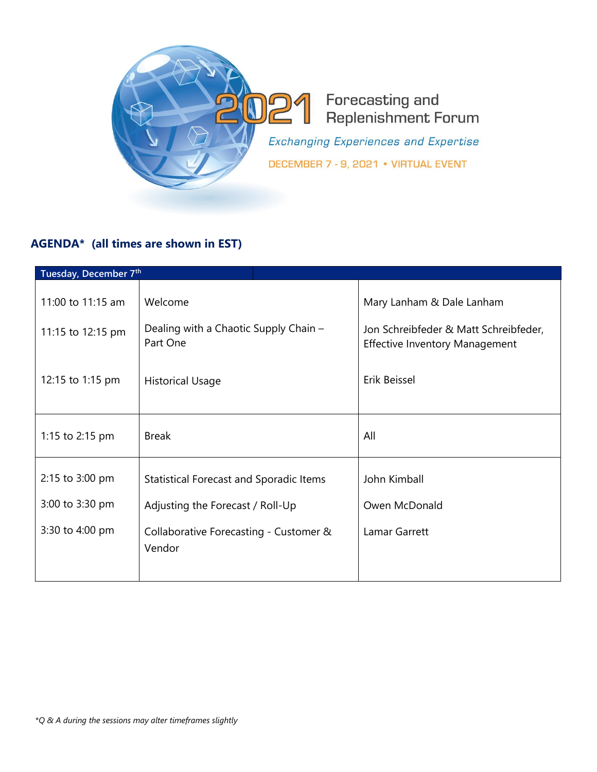

## **AGENDA\* (all times are shown in EST)**

| Tuesday, December 7th |                                                   |                                                                                |  |  |
|-----------------------|---------------------------------------------------|--------------------------------------------------------------------------------|--|--|
| 11:00 to 11:15 am     | Welcome                                           | Mary Lanham & Dale Lanham                                                      |  |  |
| 11:15 to 12:15 pm     | Dealing with a Chaotic Supply Chain -<br>Part One | Jon Schreibfeder & Matt Schreibfeder,<br><b>Effective Inventory Management</b> |  |  |
| 12:15 to 1:15 pm      | <b>Historical Usage</b>                           | Erik Beissel                                                                   |  |  |
| 1:15 to 2:15 pm       | <b>Break</b>                                      | All                                                                            |  |  |
| 2:15 to 3:00 pm       | Statistical Forecast and Sporadic Items           | John Kimball                                                                   |  |  |
| 3:00 to 3:30 pm       | Adjusting the Forecast / Roll-Up                  | Owen McDonald                                                                  |  |  |
| 3:30 to 4:00 pm       | Collaborative Forecasting - Customer &<br>Vendor  | Lamar Garrett                                                                  |  |  |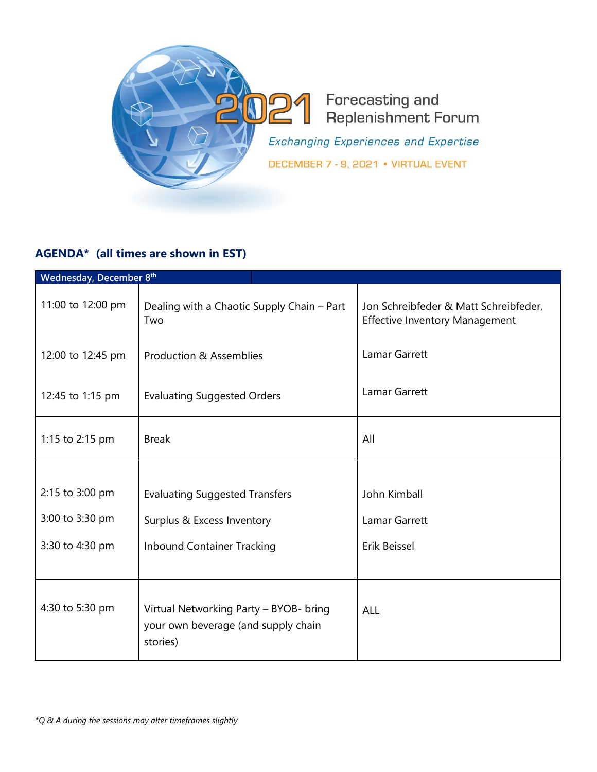

## **AGENDA\* (all times are shown in EST)**

| Wednesday, December 8th |                                                                                           |                                                                                |  |  |
|-------------------------|-------------------------------------------------------------------------------------------|--------------------------------------------------------------------------------|--|--|
| 11:00 to 12:00 pm       | Dealing with a Chaotic Supply Chain - Part<br>Two                                         | Jon Schreibfeder & Matt Schreibfeder,<br><b>Effective Inventory Management</b> |  |  |
| 12:00 to 12:45 pm       | Production & Assemblies                                                                   | Lamar Garrett                                                                  |  |  |
| 12:45 to 1:15 pm        | <b>Evaluating Suggested Orders</b>                                                        | Lamar Garrett                                                                  |  |  |
| 1:15 to 2:15 pm         | <b>Break</b>                                                                              | All                                                                            |  |  |
|                         |                                                                                           |                                                                                |  |  |
| 2:15 to 3:00 pm         | <b>Evaluating Suggested Transfers</b>                                                     | John Kimball                                                                   |  |  |
| 3:00 to 3:30 pm         | Surplus & Excess Inventory                                                                | <b>Lamar Garrett</b>                                                           |  |  |
| 3:30 to 4:30 pm         | <b>Inbound Container Tracking</b>                                                         | Erik Beissel                                                                   |  |  |
| 4:30 to 5:30 pm         | Virtual Networking Party - BYOB- bring<br>your own beverage (and supply chain<br>stories) | ALL                                                                            |  |  |